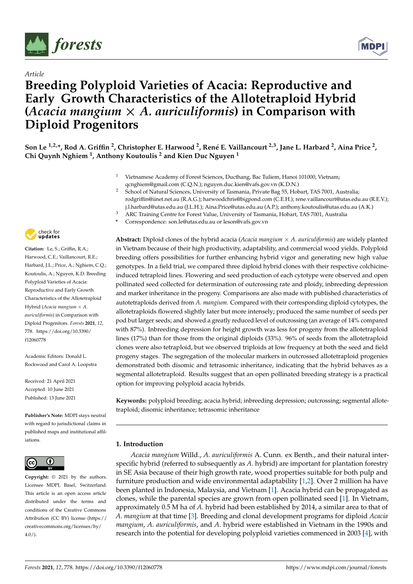

*Article*



# **Breeding Polyploid Varieties of Acacia: Reproductive and Early Growth Characteristics of the Allotetraploid Hybrid (***Acacia mangium* × *A. auriculiformis***) in Comparison with Diploid Progenitors**

Son Le <sup>1,2,</sup>\*, Rod A. Griffin <sup>2</sup>, Christopher E. Harwood <sup>2</sup>, René E. Vaillancourt <sup>2,3</sup>, Jane L. Harbard <sup>2</sup>, Aina Price <sup>2</sup>, **Chi Quynh Nghiem <sup>1</sup> , Anthony Koutoulis <sup>2</sup> and Kien Duc Nguyen <sup>1</sup>**

- <sup>1</sup> Vietnamese Academy of Forest Sciences, Ducthang, Bac Tuliem, Hanoi 101000, Vietnam; qcnghiem@gmail.com (C.Q.N.); nguyen.duc.kien@vafs.gov.vn (K.D.N.)
- <sup>2</sup> School of Natural Sciences, University of Tasmania, Private Bag 55, Hobart, TAS 7001, Australia; rodgriffin@iinet.net.au (R.A.G.); harwoodchris@bigpond.com (C.E.H.); rene.vaillancourt@utas.edu.au (R.E.V.); j.l.harbard@utas.edu.au (J.L.H.); Aina.Price@utas.edu.au (A.P.); anthony.koutoulis@utas.edu.au (A.K.)
- <sup>3</sup> ARC Training Centre for Forest Value, University of Tasmania, Hobart, TAS 7001, Australia
- **\*** Correspondence: son.le@utas.edu.au or leson@vafs.gov.vn

**Abstract:** Diploid clones of the hybrid acacia (*Acacia mangium* × *A. auriculiformis*) are widely planted in Vietnam because of their high productivity, adaptability, and commercial wood yields. Polyploid breeding offers possibilities for further enhancing hybrid vigor and generating new high value genotypes. In a field trial, we compared three diploid hybrid clones with their respective colchicineinduced tetraploid lines. Flowering and seed production of each cytotype were observed and open pollinated seed collected for determination of outcrossing rate and ploidy, inbreeding depression and marker inheritance in the progeny. Comparisons are also made with published characteristics of autotetraploids derived from *A. mangium*. Compared with their corresponding diploid cytotypes, the allotetraploids flowered slightly later but more intensely; produced the same number of seeds per pod but larger seeds; and showed a greatly reduced level of outcrossing (an average of 14% compared with 87%). Inbreeding depression for height growth was less for progeny from the allotetraploid lines (17%) than for those from the original diploids (33%). 96% of seeds from the allotetraploid clones were also tetraploid, but we observed triploids at low frequency at both the seed and field progeny stages. The segregation of the molecular markers in outcrossed allotetraploid progenies demonstrated both disomic and tetrasomic inheritance, indicating that the hybrid behaves as a segmental allotetraploid. Results suggest that an open pollinated breeding strategy is a practical option for improving polyploid acacia hybrids.

**Keywords:** polyploid breeding; acacia hybrid; inbreeding depression; outcrossing; segmental allotetraploid; disomic inheritance; tetrasomic inheritance

# **1. Introduction**

*Acacia mangium* Willd., *A. auriculiformis* A. Cunn. ex Benth., and their natural interspecific hybrid (referred to subsequently as *A.* hybrid) are important for plantation forestry in SE Asia because of their high growth rate, wood properties suitable for both pulp and furniture production and wide environmental adaptability [\[1](#page-12-0)[,2\]](#page-12-1). Over 2 million ha have been planted in Indonesia, Malaysia, and Vietnam [\[1\]](#page-12-0). Acacia hybrid can be propagated as clones, while the parental species are grown from open pollinated seed [\[1\]](#page-12-0). In Vietnam, approximately 0.5 M ha of *A.* hybrid had been established by 2014, a similar area to that of *A. mangium* at that time [\[3\]](#page-12-2). Breeding and clonal development programs for diploid *Acacia mangium*, *A. auriculiformis*, and *A.* hybrid were established in Vietnam in the 1990s and research into the potential for developing polyploid varieties commenced in 2003 [\[4\]](#page-12-3), with



**Citation:** Le, S.; Griffin, R.A.; Harwood, C.E.; Vaillancourt, R.E.; Harbard, J.L.; Price, A.; Nghiem, C.Q.; Koutoulis, A.; Nguyen, K.D. Breeding Polyploid Varieties of Acacia: Reproductive and Early Growth Characteristics of the Allotetraploid Hybrid (*Acacia mangium* × *A. auriculiformis*) in Comparison with Diploid Progenitors. *Forests* **2021**, *12*, 778. [https://doi.org/10.3390/](https://doi.org/10.3390/f12060778) [f12060778](https://doi.org/10.3390/f12060778)

Academic Editors: Donald L. Rockwood and Carol A. Loopstra

Received: 21 April 2021 Accepted: 10 June 2021 Published: 13 June 2021

**Publisher's Note:** MDPI stays neutral with regard to jurisdictional claims in published maps and institutional affiliations.



**Copyright:** © 2021 by the authors. Licensee MDPI, Basel, Switzerland. This article is an open access article distributed under the terms and conditions of the Creative Commons Attribution (CC BY) license (https:/[/](https://creativecommons.org/licenses/by/4.0/) [creativecommons.org/licenses/by/](https://creativecommons.org/licenses/by/4.0/)  $4.0/$ ).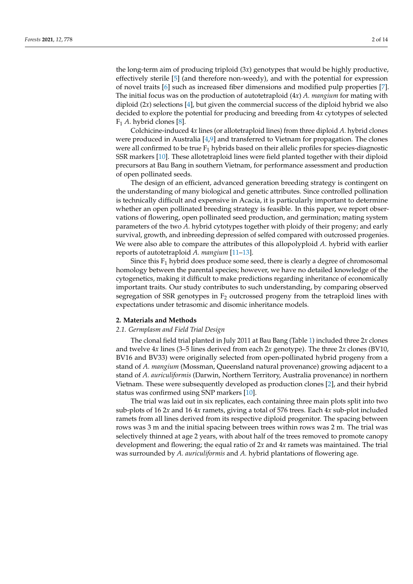the long-term aim of producing triploid (3*x*) genotypes that would be highly productive, effectively sterile [\[5\]](#page-12-4) (and therefore non-weedy), and with the potential for expression of novel traits [\[6\]](#page-12-5) such as increased fiber dimensions and modified pulp properties [\[7\]](#page-12-6). The initial focus was on the production of autotetraploid (4*x*) *A. mangium* for mating with diploid  $(2x)$  selections [\[4\]](#page-12-3), but given the commercial success of the diploid hybrid we also decided to explore the potential for producing and breeding from 4*x* cytotypes of selected F<sup>1</sup> *A.* hybrid clones [\[8\]](#page-12-7).

Colchicine-induced 4*x* lines (or allotetraploid lines) from three diploid *A.* hybrid clones were produced in Australia [\[4](#page-12-3)[,9\]](#page-12-8) and transferred to Vietnam for propagation. The clones were all confirmed to be true  $F_1$  hybrids based on their allelic profiles for species-diagnostic SSR markers [\[10\]](#page-12-9). These allotetraploid lines were field planted together with their diploid precursors at Bau Bang in southern Vietnam, for performance assessment and production of open pollinated seeds.

The design of an efficient, advanced generation breeding strategy is contingent on the understanding of many biological and genetic attributes. Since controlled pollination is technically difficult and expensive in Acacia, it is particularly important to determine whether an open pollinated breeding strategy is feasible. In this paper, we report observations of flowering, open pollinated seed production, and germination; mating system parameters of the two *A.* hybrid cytotypes together with ploidy of their progeny; and early survival, growth, and inbreeding depression of selfed compared with outcrossed progenies. We were also able to compare the attributes of this allopolyploid *A.* hybrid with earlier reports of autotetraploid *A. mangium* [\[11–](#page-12-10)[13\]](#page-12-11).

Since this  $F_1$  hybrid does produce some seed, there is clearly a degree of chromosomal homology between the parental species; however, we have no detailed knowledge of the cytogenetics, making it difficult to make predictions regarding inheritance of economically important traits. Our study contributes to such understanding, by comparing observed segregation of SSR genotypes in  $F_2$  outcrossed progeny from the tetraploid lines with expectations under tetrasomic and disomic inheritance models.

## **2. Materials and Methods**

# *2.1. Germplasm and Field Trial Design*

The clonal field trial planted in July 2011 at Bau Bang (Table [1\)](#page-2-0) included three 2*x* clones and twelve 4*x* lines (3–5 lines derived from each 2*x* genotype). The three 2*x* clones (BV10, BV16 and BV33) were originally selected from open-pollinated hybrid progeny from a stand of *A. mangium* (Mossman, Queensland natural provenance) growing adjacent to a stand of *A. auriculiformis* (Darwin, Northern Territory, Australia provenance) in northern Vietnam. These were subsequently developed as production clones [\[2\]](#page-12-1), and their hybrid status was confirmed using SNP markers [\[10\]](#page-12-9).

The trial was laid out in six replicates, each containing three main plots split into two sub-plots of 16 2*x* and 16 4*x* ramets, giving a total of 576 trees. Each 4*x* sub-plot included ramets from all lines derived from its respective diploid progenitor. The spacing between rows was 3 m and the initial spacing between trees within rows was 2 m. The trial was selectively thinned at age 2 years, with about half of the trees removed to promote canopy development and flowering; the equal ratio of 2*x* and 4*x* ramets was maintained. The trial was surrounded by *A. auriculiformis* and *A.* hybrid plantations of flowering age.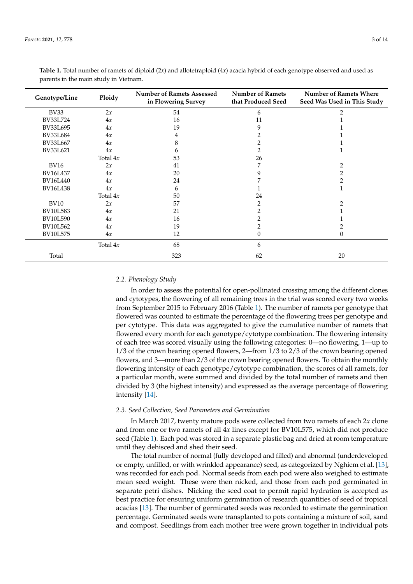| Genotype/Line<br>Ploidy |            | <b>Number of Ramets Assessed</b><br>in Flowering Survey | <b>Number of Ramets</b><br>that Produced Seed | <b>Number of Ramets Where</b><br>Seed Was Used in This Study |
|-------------------------|------------|---------------------------------------------------------|-----------------------------------------------|--------------------------------------------------------------|
| <b>BV33</b>             | 2x         | 54                                                      | 6                                             | $\mathcal{D}$                                                |
| BV33L724                | 4x         | 16                                                      | 11                                            |                                                              |
| BV33L695                | 4x         | 19                                                      | 9                                             |                                                              |
| <b>BV33L684</b>         | 4x         | 4                                                       | 2                                             |                                                              |
| BV33L667                | 4x         | 8                                                       | 2                                             |                                                              |
| BV33L621                | 4x         | 6                                                       | 2                                             |                                                              |
|                         | Total $4x$ | 53                                                      | 26                                            |                                                              |
| <b>BV16</b>             | 2x         | 41                                                      | 7                                             |                                                              |
| BV16L437                | 4x         | 20                                                      | 9                                             | 2                                                            |
| <b>BV16L440</b>         | 4x         | 24                                                      |                                               |                                                              |
| <b>BV16L438</b>         | 4x         | 6                                                       |                                               |                                                              |
|                         | Total $4x$ | 50                                                      | 24                                            |                                                              |
| <b>BV10</b>             | 2x         | 57                                                      | $\overline{2}$                                |                                                              |
| <b>BV10L583</b>         | 4x         | 21                                                      | 2                                             |                                                              |
| <b>BV10L590</b>         | 4x         | 16                                                      | 2                                             |                                                              |
| <b>BV10L562</b>         | 4x         | 19                                                      | $\overline{2}$                                |                                                              |
| <b>BV10L575</b>         | 4x         | 12                                                      | $\theta$                                      | 0                                                            |
|                         | Total $4x$ | 68                                                      | 6                                             |                                                              |
| Total                   |            | 323                                                     | 62                                            | 20                                                           |

<span id="page-2-0"></span>

| Table 1. Total number of ramets of diploid (2x) and allotetraploid (4x) acacia hybrid of each genotype observed and used as |  |  |  |
|-----------------------------------------------------------------------------------------------------------------------------|--|--|--|
| parents in the main study in Vietnam.                                                                                       |  |  |  |

# *2.2. Phenology Study*

In order to assess the potential for open-pollinated crossing among the different clones and cytotypes, the flowering of all remaining trees in the trial was scored every two weeks from September 2015 to February 2016 (Table [1\)](#page-2-0). The number of ramets per genotype that flowered was counted to estimate the percentage of the flowering trees per genotype and per cytotype. This data was aggregated to give the cumulative number of ramets that flowered every month for each genotype/cytotype combination. The flowering intensity of each tree was scored visually using the following categories: 0—no flowering, 1—up to 1/3 of the crown bearing opened flowers, 2—from 1/3 to 2/3 of the crown bearing opened flowers, and 3—more than 2/3 of the crown bearing opened flowers. To obtain the monthly flowering intensity of each genotype/cytotype combination, the scores of all ramets, for a particular month, were summed and divided by the total number of ramets and then divided by 3 (the highest intensity) and expressed as the average percentage of flowering intensity [\[14\]](#page-12-12).

## *2.3. Seed Collection, Seed Parameters and Germination*

In March 2017, twenty mature pods were collected from two ramets of each 2*x* clone and from one or two ramets of all 4*x* lines except for BV10L575, which did not produce seed (Table [1\)](#page-2-0). Each pod was stored in a separate plastic bag and dried at room temperature until they dehisced and shed their seed.

The total number of normal (fully developed and filled) and abnormal (underdeveloped or empty, unfilled, or with wrinkled appearance) seed, as categorized by Nghiem et al. [\[13\]](#page-12-11), was recorded for each pod. Normal seeds from each pod were also weighed to estimate mean seed weight. These were then nicked, and those from each pod germinated in separate petri dishes. Nicking the seed coat to permit rapid hydration is accepted as best practice for ensuring uniform germination of research quantities of seed of tropical acacias [\[13\]](#page-12-11). The number of germinated seeds was recorded to estimate the germination percentage. Germinated seeds were transplanted to pots containing a mixture of soil, sand and compost. Seedlings from each mother tree were grown together in individual pots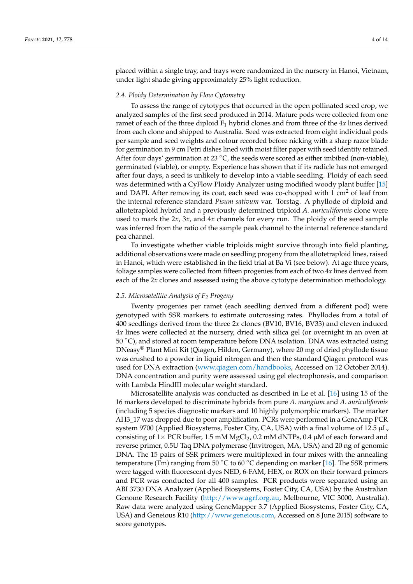placed within a single tray, and trays were randomized in the nursery in Hanoi, Vietnam, under light shade giving approximately 25% light reduction.

## *2.4. Ploidy Determination by Flow Cytometry*

To assess the range of cytotypes that occurred in the open pollinated seed crop, we analyzed samples of the first seed produced in 2014. Mature pods were collected from one ramet of each of the three diploid  $F_1$  hybrid clones and from three of the  $4x$  lines derived from each clone and shipped to Australia. Seed was extracted from eight individual pods per sample and seed weights and colour recorded before nicking with a sharp razor blade for germination in 9 cm Petri dishes lined with moist filter paper with seed identity retained. After four days' germination at 23  $^{\circ}$ C, the seeds were scored as either imbibed (non-viable), germinated (viable), or empty. Experience has shown that if its radicle has not emerged after four days, a seed is unlikely to develop into a viable seedling. Ploidy of each seed was determined with a CyFlow Ploidy Analyzer using modified woody plant buffer [\[15\]](#page-12-13) and DAPI. After removing its coat, each seed was co-chopped with  $1 \text{ cm}^2$  of leaf from the internal reference standard *Pisum sativum* var. Torstag. A phyllode of diploid and allotetraploid hybrid and a previously determined triploid *A. auriculiformis* clone were used to mark the 2*x*, 3*x*, and 4*x* channels for every run. The ploidy of the seed sample was inferred from the ratio of the sample peak channel to the internal reference standard pea channel.

To investigate whether viable triploids might survive through into field planting, additional observations were made on seedling progeny from the allotetraploid lines, raised in Hanoi, which were established in the field trial at Ba Vi (see below). At age three years, foliage samples were collected from fifteen progenies from each of two 4*x* lines derived from each of the 2*x* clones and assessed using the above cytotype determination methodology.

## *2.5. Microsatellite Analysis of F<sup>2</sup> Progeny*

Twenty progenies per ramet (each seedling derived from a different pod) were genotyped with SSR markers to estimate outcrossing rates. Phyllodes from a total of 400 seedlings derived from the three 2*x* clones (BV10, BV16, BV33) and eleven induced 4*x* lines were collected at the nursery, dried with silica gel (or overnight in an oven at 50  $\degree$ C), and stored at room temperature before DNA isolation. DNA was extracted using DNeasy® Plant Mini Kit (Qiagen, Hilden, Germany), where 20 mg of dried phyllode tissue was crushed to a powder in liquid nitrogen and then the standard Qiagen protocol was used for DNA extraction [\(www.qiagen.com/handbooks,](www.qiagen.com/handbooks) Accessed on 12 October 2014). DNA concentration and purity were assessed using gel electrophoresis, and comparison with Lambda HindIII molecular weight standard.

Microsatellite analysis was conducted as described in Le et al. [\[16\]](#page-12-14) using 15 of the 16 markers developed to discriminate hybrids from pure *A. mangium* and *A. auriculiformis* (including 5 species diagnostic markers and 10 highly polymorphic markers). The marker AH3\_17 was dropped due to poor amplification. PCRs were performed in a GeneAmp PCR system 9700 (Applied Biosystems, Foster City, CA, USA) with a final volume of 12.5  $\mu$ L, consisting of  $1\times$  PCR buffer, 1.5 mM MgCl<sub>2</sub>, 0.2 mM dNTPs, 0.4  $\mu$ M of each forward and reverse primer, 0.5U Taq DNA polymerase (Invitrogen, MA, USA) and 20 ng of genomic DNA. The 15 pairs of SSR primers were multiplexed in four mixes with the annealing temperature (Tm) ranging from 50 °C to 60 °C depending on marker [\[16\]](#page-12-14). The SSR primers were tagged with fluorescent dyes NED, 6-FAM, HEX, or ROX on their forward primers and PCR was conducted for all 400 samples. PCR products were separated using an ABI 3730 DNA Analyzer (Applied Biosystems, Foster City, CA, USA) by the Australian Genome Research Facility [\(http://www.agrf.org.au,](http://www.agrf.org.au) Melbourne, VIC 3000, Australia). Raw data were analyzed using GeneMapper 3.7 (Applied Biosystems, Foster City, CA, USA) and Geneious R10 [\(http://www.geneious.com,](http://www.geneious.com) Accessed on 8 June 2015) software to score genotypes.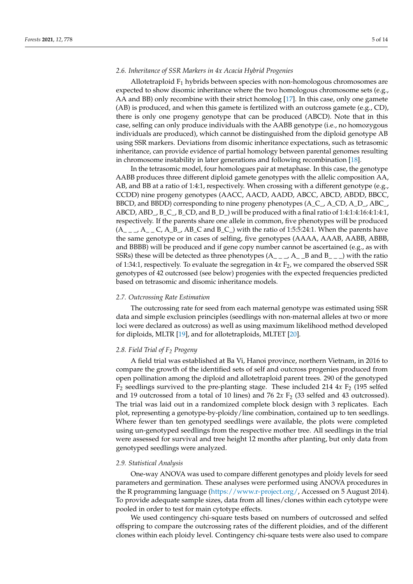## *2.6. Inheritance of SSR Markers in 4x Acacia Hybrid Progenies*

Allotetraploid  $F_1$  hybrids between species with non-homologous chromosomes are expected to show disomic inheritance where the two homologous chromosome sets (e.g., AA and BB) only recombine with their strict homolog [\[17\]](#page-12-15). In this case, only one gamete (AB) is produced, and when this gamete is fertilized with an outcross gamete (e.g., CD), there is only one progeny genotype that can be produced (ABCD). Note that in this case, selfing can only produce individuals with the AABB genotype (i.e., no homozygous individuals are produced), which cannot be distinguished from the diploid genotype AB using SSR markers. Deviations from disomic inheritance expectations, such as tetrasomic inheritance, can provide evidence of partial homology between parental genomes resulting in chromosome instability in later generations and following recombination [\[18\]](#page-12-16).

In the tetrasomic model, four homologues pair at metaphase. In this case, the genotype AABB produces three different diploid gamete genotypes with the allelic composition AA, AB, and BB at a ratio of 1:4:1, respectively. When crossing with a different genotype (e.g., CCDD) nine progeny genotypes (AACC, AACD, AADD, ABCC, ABCD, ABDD, BBCC, BBCD, and BBDD) corresponding to nine progeny phenotypes (A\_C\_, A\_CD, A\_D\_, ABC\_, ABCD, ABD\_, B\_C\_, B\_CD, and B\_D\_) will be produced with a final ratio of 1:4:1:4:16:4:1:4:1, respectively. If the parents share one allele in common, five phenotypes will be produced  $(A_{---}, A_{---}, C, A_{-B}, AB_{\_C})$  and B<sub>-C-</sub>) with the ratio of 1:5:5:24:1. When the parents have the same genotype or in cases of selfing, five genotypes (AAAA, AAAB, AABB, ABBB, and BBBB) will be produced and if gene copy number cannot be ascertained (e.g., as with SSRs) these will be detected as three phenotypes  $(A_{-\alpha}, A_{-\alpha}, B_{\alpha})$  with the ratio of 1:34:1, respectively. To evaluate the segregation in  $4x F<sub>2</sub>$ , we compared the observed SSR genotypes of 42 outcrossed (see below) progenies with the expected frequencies predicted based on tetrasomic and disomic inheritance models.

## *2.7. Outcrossing Rate Estimation*

The outcrossing rate for seed from each maternal genotype was estimated using SSR data and simple exclusion principles (seedlings with non-maternal alleles at two or more loci were declared as outcross) as well as using maximum likelihood method developed for diploids, MLTR [\[19\]](#page-12-17), and for allotetraploids, MLTET [\[20\]](#page-12-18).

## *2.8. Field Trial of F<sup>2</sup> Progeny*

A field trial was established at Ba Vi, Hanoi province, northern Vietnam, in 2016 to compare the growth of the identified sets of self and outcross progenies produced from open pollination among the diploid and allotetraploid parent trees. 290 of the genotyped  $F_2$  seedlings survived to the pre-planting stage. These included 214  $4x F_2$  (195 selfed and 19 outcrossed from a total of 10 lines) and 76  $2x F<sub>2</sub>$  (33 selfed and 43 outcrossed). The trial was laid out in a randomized complete block design with 3 replicates. Each plot, representing a genotype-by-ploidy/line combination, contained up to ten seedlings. Where fewer than ten genotyped seedlings were available, the plots were completed using un-genotyped seedlings from the respective mother tree. All seedlings in the trial were assessed for survival and tree height 12 months after planting, but only data from genotyped seedlings were analyzed.

## *2.9. Statistical Analysis*

One-way ANOVA was used to compare different genotypes and ploidy levels for seed parameters and germination. These analyses were performed using ANOVA procedures in the R programming language [\(https://www.r-project.org/,](https://www.r-project.org/) Accessed on 5 August 2014). To provide adequate sample sizes, data from all lines/clones within each cytotype were pooled in order to test for main cytotype effects.

We used contingency chi-square tests based on numbers of outcrossed and selfed offspring to compare the outcrossing rates of the different ploidies, and of the different clones within each ploidy level. Contingency chi-square tests were also used to compare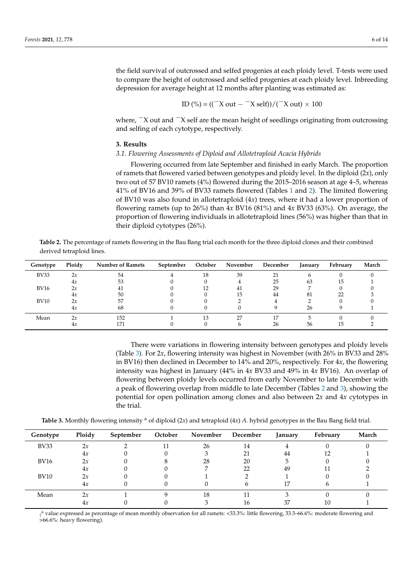the field survival of outcrossed and selfed progenies at each ploidy level. T-tests were used to compare the height of outcrossed and selfed progenies at each ploidy level. Inbreeding depression for average height at 12 months after planting was estimated as:

$$
ID (%) = ((-X out - -X self)) / (-X out) \times 100
$$

where,  $\overline{X}$  out and  $\overline{X}$  self are the mean height of seedlings originating from outcrossing and selfing of each cytotype, respectively.

## **3. Results**

## *3.1. Flowering Assessments of Diploid and Allotetraploid Acacia Hybrids*

Flowering occurred from late September and finished in early March. The proportion of ramets that flowered varied between genotypes and ploidy level. In the diploid (2*x*), only two out of 57 BV10 ramets (4%) flowered during the 2015–2016 season at age 4–5, whereas 41% of BV16 and 39% of BV33 ramets flowered (Tables [1](#page-2-0) and [2\)](#page-5-0). The limited flowering of BV10 was also found in allotetraploid (4*x*) trees, where it had a lower proportion of flowering ramets (up to 26%) than 4*x* BV16 (81%) and 4*x* BV33 (63%). On average, the proportion of flowering individuals in allotetraploid lines (56%) was higher than that in their diploid cytotypes (26%).

<span id="page-5-0"></span>**Table 2.** The percentage of ramets flowering in the Bau Bang trial each month for the three diploid clones and their combined derived tetraploid lines.

| Genotype    | Ploidy | <b>Number of Ramets</b> | September | October | November | December   | January | February | March |
|-------------|--------|-------------------------|-----------|---------|----------|------------|---------|----------|-------|
| <b>BV33</b> | 2x     | 54                      |           | 18      | 39       | $^{\circ}$ |         |          |       |
|             | 4x     | 53                      |           |         |          | 25         | 63      | IЭ       |       |
| <b>BV16</b> | 2x     |                         |           |         | 41       | 29         |         |          |       |
|             | 4x     | 50                      |           |         | 15       | 44         | 81      | 22       |       |
| <b>BV10</b> | 2x     | 57                      |           |         |          |            |         |          |       |
|             | 4x     | 68                      |           |         |          |            | 26      |          |       |
| Mean        | 2x     | 152                     |           | 13      | 27       |            |         |          |       |
|             | 4x     | 171                     |           |         |          | 26         | 56      | 15       |       |

There were variations in flowering intensity between genotypes and ploidy levels (Table [3\)](#page-5-1). For 2*x*, flowering intensity was highest in November (with 26% in BV33 and 28% in BV16) then declined in December to 14% and 20%, respectively. For 4*x*, the flowering intensity was highest in January (44% in 4*x* BV33 and 49% in 4*x* BV16). An overlap of flowering between ploidy levels occurred from early November to late December with a peak of flowering overlap from middle to late December (Tables [2](#page-5-0) and [3\)](#page-5-1), showing the potential for open pollination among clones and also between 2*x* and 4*x* cytotypes in the trial.

<span id="page-5-1"></span>Table 3. Monthly flowering intensity <sup>a</sup> of diploid (2*x*) and tetraploid (4*x*) *A*. hybrid genotypes in the Bau Bang field trial.

| Genotype    | Ploidy | September | October | November | December | January | February | March |
|-------------|--------|-----------|---------|----------|----------|---------|----------|-------|
| <b>BV33</b> | 2x     |           |         | 26       | 14       |         |          |       |
|             | 4x     |           |         |          |          | 44      |          |       |
| <b>BV16</b> | 2x     |           |         | 28       | 20       |         |          |       |
|             | 4x     |           |         |          |          | 49      |          |       |
| <b>BV10</b> | 2x     |           |         |          |          |         |          |       |
|             | 4x     |           |         |          |          | 17      |          |       |
| Mean        | 2x     |           |         | 18       |          |         |          |       |
|             | 4x     |           |         |          | 16       | 37      | 10       |       |

( >66.6%: heavy flowering).<sup>a</sup> value expressed as percentage of mean monthly observation for all ramets: <33.3%: little flowering, 33.3–66.6%: moderate flowering and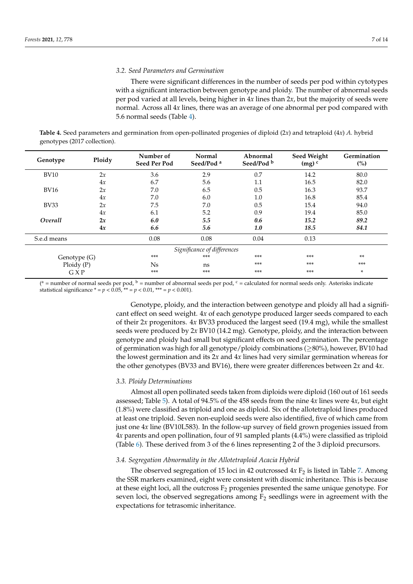## *3.2. Seed Parameters and Germination*

There were significant differences in the number of seeds per pod within cytotypes with a significant interaction between genotype and ploidy. The number of abnormal seeds per pod varied at all levels, being higher in 4*x* lines than 2*x*, but the majority of seeds were normal. Across all 4*x* lines, there was an average of one abnormal per pod compared with 5.6 normal seeds (Table [4\)](#page-6-0).

<span id="page-6-0"></span>**Table 4.** Seed parameters and germination from open-pollinated progenies of diploid (2*x*) and tetraploid (4*x*) *A.* hybrid genotypes (2017 collection).

| Genotype     | Ploidy | Number of<br><b>Seed Per Pod</b> | Normal<br>Seed/Pod <sup>a</sup> | Abnormal<br>Seed/Pod <sup>b</sup> | Seed Weight<br>$(mg)^c$ | Germination<br>(%) |
|--------------|--------|----------------------------------|---------------------------------|-----------------------------------|-------------------------|--------------------|
| <b>BV10</b>  | 2x     | 3.6                              | 2.9                             | 0.7                               | 14.2                    | 80.0               |
|              | 4x     | 6.7                              | 5.6                             | 1.1                               | 16.5                    | 82.0               |
| <b>BV16</b>  | 2x     | 7.0                              | 6.5                             | 0.5                               | 16.3                    | 93.7               |
|              | 4x     | 7.0                              | 6.0                             | 1.0                               | 16.8                    | 85.4               |
| <b>BV33</b>  | 2x     | 7.5                              | 7.0                             | 0.5                               | 15.4                    | 94.0               |
|              | 4x     | 6.1                              | 5.2                             | 0.9                               | 19.4                    | 85.0               |
| Overall      | 2x     | 6.0                              | 5.5                             | 0.6                               | 15.2                    | 89.2               |
|              | 4x     | 6.6                              | 5.6                             | 1.0                               | 18.5                    | 84.1               |
| S.e.d means  |        | 0.08                             | 0.08                            | 0.04                              | 0.13                    |                    |
|              |        |                                  | Significance of differences     |                                   |                         |                    |
| Genotype (G) |        | $***$                            | $***$                           | $***$                             | ***                     | $***$              |
| Ploidy(P)    |        | N <sub>s</sub>                   | ns                              | ***                               | ***                     | $***$              |
| GXP          |        | ***                              | $***$                           | ***                               | $***$                   | *                  |

( $a$  = number of normal seeds per pod,  $b$  = number of abnormal seeds per pod,  $c$  = calculated for normal seeds only. Asterisks indicate statistical significance  $* = p < 0.05$ ,  $** = p < 0.01$ ,  $** = p < 0.001$ ).

> Genotype, ploidy, and the interaction between genotype and ploidy all had a significant effect on seed weight. 4*x* of each genotype produced larger seeds compared to each of their 2*x* progenitors. 4*x* BV33 produced the largest seed (19.4 mg), while the smallest seeds were produced by 2*x* BV10 (14.2 mg). Genotype, ploidy, and the interaction between genotype and ploidy had small but significant effects on seed germination. The percentage of germination was high for all genotype/ploidy combinations ( $\geq$ 80%), however, BV10 had the lowest germination and its 2*x* and 4*x* lines had very similar germination whereas for the other genotypes (BV33 and BV16), there were greater differences between 2*x* and 4*x*.

## *3.3. Ploidy Determinations*

Almost all open pollinated seeds taken from diploids were diploid (160 out of 161 seeds assessed; Table [5\)](#page-7-0). A total of 94.5% of the 458 seeds from the nine 4*x* lines were 4*x*, but eight (1.8%) were classified as triploid and one as diploid. Six of the allotetraploid lines produced at least one triploid. Seven non-euploid seeds were also identified, five of which came from just one 4*x* line (BV10L583). In the follow-up survey of field grown progenies issued from 4*x* parents and open pollination, four of 91 sampled plants (4.4%) were classified as triploid (Table [6\)](#page-7-1). These derived from 3 of the 6 lines representing 2 of the 3 diploid precursors.

## *3.4. Segregation Abnormality in the Allotetraploid Acacia Hybrid*

The observed segregation of 15 loci in 42 outcrossed  $4x F<sub>2</sub>$  is listed in Table [7.](#page-8-0) Among the SSR markers examined, eight were consistent with disomic inheritance. This is because at these eight loci, all the outcross  $F_2$  progenies presented the same unique genotype. For seven loci, the observed segregations among  $F_2$  seedlings were in agreement with the expectations for tetrasomic inheritance.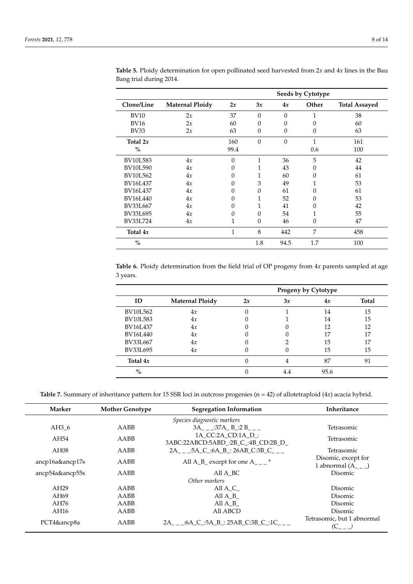|                 |                        |              |          |          | Seeds by Cytotype |                      |
|-----------------|------------------------|--------------|----------|----------|-------------------|----------------------|
| Clone/Line      | <b>Maternal Ploidy</b> | 2x           | 3x       | 4x       | Other             | <b>Total Assayed</b> |
| <b>BV10</b>     | 2x                     | 37           | $\Omega$ | $\Omega$ | $\mathbf{1}$      | 38                   |
| <b>BV16</b>     | 2x                     | 60           | 0        | $\theta$ | 0                 | 60                   |
| <b>BV33</b>     | 2x                     | 63           | $\Omega$ | $\Omega$ | 0                 | 63                   |
| Total $2x$      |                        | 160          | $\Omega$ | $\Omega$ | 1                 | 161                  |
| $\frac{0}{0}$   |                        | 99.4         |          |          | 0.6               | 100                  |
| <b>BV10L583</b> | 4x                     | $\theta$     | 1        | 36       | 5                 | 42                   |
| <b>BV10L590</b> | 4x                     | $\Omega$     | 1        | 43       | 0                 | 44                   |
| <b>BV10L562</b> | 4x                     | $\Omega$     | 1        | 60       | 0                 | 61                   |
| BV16L437        | 4x                     | $\Omega$     | 3        | 49       | 1                 | 53                   |
| BV16L437        | 4x                     | 0            | 0        | 61       | 0                 | 61                   |
| <b>BV16L440</b> | 4x                     | $\Omega$     | 1        | 52       | 0                 | 53                   |
| BV33L667        | 4x                     | $\Omega$     |          | 41       | 0                 | 42                   |
| <b>BV33L695</b> | 4x                     | $\Omega$     | $\Omega$ | 54       | $\mathbf{1}$      | 55                   |
| BV33L724        | 4x                     | 1            | $\Omega$ | 46       | $\theta$          | 47                   |
| Total $4x$      |                        | $\mathbf{1}$ | 8        | 442      | 7                 | 458                  |
| $\%$            |                        |              | 1.8      | 94.5     | 1.7               | 100                  |

<span id="page-7-0"></span>**Table 5.** Ploidy determination for open pollinated seed harvested from 2*x* and 4*x* lines in the Bau Bang trial during 2014.

<span id="page-7-1"></span>**Table 6.** Ploidy determination from the field trial of OP progeny from 4*x* parents sampled at age 3 years.

|                 |                        |    |     | Progeny by Cytotype |       |
|-----------------|------------------------|----|-----|---------------------|-------|
| ID              | <b>Maternal Ploidy</b> | 2x | 3x  | 4x                  | Total |
| BV10L562        | 4x                     | 0  |     | 14                  | 15    |
| <b>BV10L583</b> | 4x                     |    |     | 14                  | 15    |
| BV16L437        | 4x                     |    |     | 12                  | 12    |
| BV16L440        | 4x                     |    |     | 17                  | 17    |
| BV33L667        | 4x                     |    |     | 15                  | 17    |
| BV33L695        | 4x                     |    |     | 15                  | 15    |
| Total $4x$      |                        |    |     | 87                  | 91    |
| $\%$            |                        |    | 4.4 | 95.6                |       |

**Table 7.** Summary of inheritance pattern for 15 SSR loci in outcross progenies (n = 42) of allotetraploid (4*x*) acacia hybrid.

| Marker          | <b>Mother Genotype</b> | <b>Segregation Information</b>                           | Inheritance                                  |
|-----------------|------------------------|----------------------------------------------------------|----------------------------------------------|
|                 |                        | Species diagnostic markers                               |                                              |
| AH36            | AABB                   | 3A :37A B :2 B                                           | Tetrasomic                                   |
| AH54            | AABB                   | 1A CC:2A CD:1A D :<br>3ABC:22ABCD:5ABD :2B C :4B CD:2B D | Tetrasomic                                   |
| AH08            | AABB                   | $2A_{-}$ :5A_C_:6A_B_: 26AB_C:3B_C___                    | Tetrasomic                                   |
| ancp16a&ancp17s | AABB                   | All A_B_ except for one A___ $*$                         | Disomic, except for<br>1 abnormal $(A_{--})$ |
| ancp54a&ancp55s | AABB                   | All A BC                                                 | Disomic                                      |
|                 |                        | Other markers                                            |                                              |
| AH29            | AABB                   | All A C                                                  | Disomic                                      |
| AH69            | AABB                   | All A B                                                  | Disomic                                      |
| AH76            | AABB                   | All A B                                                  | Disomic                                      |
| AH16            | AABB                   | All ABCD                                                 | Disomic                                      |
| PCT4&ancp8a     | AABB                   | 2A __ :6A C :5A B : 25AB C:3B C :1C                      | Tetrasomic, but 1 abnormal<br>$(C - 1)$      |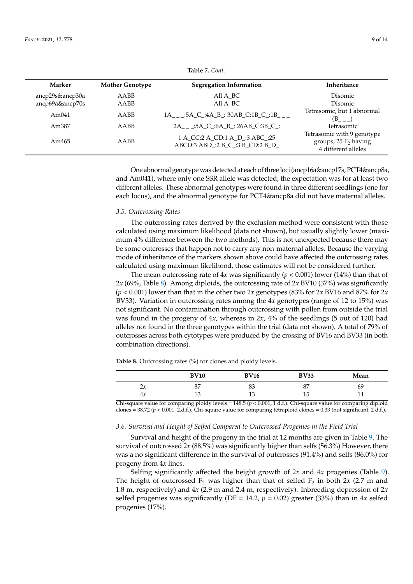<span id="page-8-0"></span>

| Marker          | <b>Mother Genotype</b> | <b>Segregation Information</b>  | Inheritance                                |
|-----------------|------------------------|---------------------------------|--------------------------------------------|
| ancp29s&ancp30a | AABB                   | All A BC                        | Disomic                                    |
| ancp69a&ancp70s | AABB                   | All A BC                        | <b>Disomic</b>                             |
| Am $041$        | AABB                   | 1A :5A C :4A B :30AB C:1B C :1B | Tetrasomic, but 1 abnormal<br>$(B_{-}$ $)$ |
| Am387           | AABB                   | 2A :5A C :6A B : 26AB C:3B C :  | Tetrasomic                                 |
|                 |                        | 1.000100110001                  | Tetrasomic with 9 genotype                 |

ABCD:3 ABD\_:2 B\_C\_:3 B\_CD:2 B\_D\_

**Table 7.** *Cont.*

One abnormal genotype was detected at each of three loci (ancp16a&ancp17s, PCT4&ancp8a, and Am041), where only one SSR allele was detected; the expectation was for at least two different alleles. These abnormal genotypes were found in three different seedlings (one for each locus), and the abnormal genotype for PCT4&ancp8a did not have maternal alleles.

#### *3.5. Outcrossing Rates*

Am465 AABB 1 A\_CC:2 A\_CD:1 A\_D\_:3 ABC\_:25

The outcrossing rates derived by the exclusion method were consistent with those calculated using maximum likelihood (data not shown), but usually slightly lower (maximum 4% difference between the two methods). This is not unexpected because there may be some outcrosses that happen not to carry any non-maternal alleles. Because the varying mode of inheritance of the markers shown above could have affected the outcrossing rates calculated using maximum likelihood, those estimates will not be considered further.

The mean outcrossing rate of  $4x$  was significantly ( $p < 0.001$ ) lower (14%) than that of 2*x* (69%, Table [8\)](#page-8-1). Among diploids, the outcrossing rate of 2*x* BV10 (37%) was significantly  $(p < 0.001)$  lower than that in the other two 2*x* genotypes (83% for 2*x* BV16 and 87% for 2*x* BV33). Variation in outcrossing rates among the 4*x* genotypes (range of 12 to 15%) was not significant. No contamination through outcrossing with pollen from outside the trial was found in the progeny of 4*x*, whereas in 2*x*, 4% of the seedlings (5 out of 120) had alleles not found in the three genotypes within the trial (data not shown). A total of 79% of outcrosses across both cytotypes were produced by the crossing of BV16 and BV33 (in both combination directions).

<span id="page-8-1"></span>**Table 8.** Outcrossing rates (%) for clones and ploidy levels.

| 37<br>87<br>83<br>69<br>$\mathcal{D}_{\mathcal{M}}$<br>$-1$ |  |
|-------------------------------------------------------------|--|
|                                                             |  |
| 15<br>10<br>1 ว<br>14<br>4x<br>Ŧ<br>⊥∪<br>⊥∪                |  |

Chi-square value for comparing ploidy levels = 148.5 (*p* < 0.001, 1 d.f.). Chi-square value for comparing diploid clones = 38.72 (*p* < 0.001, 2.d.f.). Chi-square value for comparing tetraploid clones = 0.33 (not significant, 2 d.f.).

#### *3.6. Survival and Height of Selfed Compared to Outcrossed Progenies in the Field Trial*

Survival and height of the progeny in the trial at 12 months are given in Table [9.](#page-9-0) The survival of outcrossed 2x (88.5%) was significantly higher than selfs (56.3%) However, there was a no significant difference in the survival of outcrosses (91.4%) and selfs (86.0%) for progeny from 4*x* lines.

Selfing significantly affected the height growth of 2*x* and 4*x* progenies (Table [9\)](#page-9-0). The height of outcrossed  $F_2$  was higher than that of selfed  $F_2$  in both 2*x* (2.7 m and 1.8 m, respectively) and 4*x* (2.9 m and 2.4 m, respectively). Inbreeding depression of 2*x* selfed progenies was significantly (DF = 14.2,  $p = 0.02$ ) greater (33%) than in 4*x* selfed progenies (17%).

groups,  $25 F<sub>2</sub>$  having 4 different alleles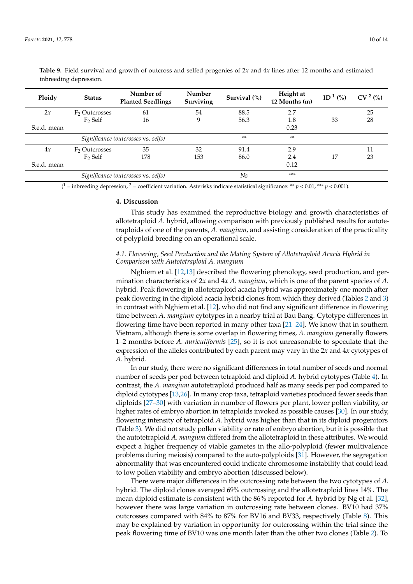| Ploidy                              | <b>Status</b>             | Number of<br><b>Planted Seedlings</b> | Number<br>Surviving | Survival $(\%)$ | Height at<br>12 Months (m) | ID <sup>1</sup> $(\% )$ | CV <sup>2</sup> (%) |
|-------------------------------------|---------------------------|---------------------------------------|---------------------|-----------------|----------------------------|-------------------------|---------------------|
| 2x                                  | F <sub>2</sub> Outcrosses | 61                                    | 54                  | 88.5            | 2.7                        |                         | 25                  |
|                                     | $F2$ Self                 | 16                                    | 9                   | 56.3            | 1.8                        | 33                      | 28                  |
| S.e.d. mean                         |                           |                                       |                     |                 | 0.23                       |                         |                     |
| Significance (outcrosses vs. selfs) |                           |                                       |                     | $**$            | **                         |                         |                     |
| 4x                                  | F <sub>2</sub> Outcrosses | 35                                    | 32                  | 91.4            | 2.9                        |                         | 11                  |
|                                     | $F2$ Self                 | 178                                   | 153                 | 86.0            | 2.4                        | 17                      | 23                  |
| S.e.d. mean                         |                           |                                       |                     |                 | 0.12                       |                         |                     |
| Significance (outcrosses vs. selfs) |                           |                                       |                     | Ns              | ***                        |                         |                     |

<span id="page-9-0"></span>**Table 9.** Field survival and growth of outcross and selfed progenies of 2*x* and 4*x* lines after 12 months and estimated inbreeding depression.

 $(1 = \text{inbreeding depression}, \frac{2}{7} = \text{coefficient variation. Asterisks indicate statistical significance: **  $p < 0.01$ , ***  $p < 0.001$ ).$ 

## **4. Discussion**

This study has examined the reproductive biology and growth characteristics of allotetraploid *A.* hybrid, allowing comparison with previously published results for autotetraploids of one of the parents, *A. mangium*, and assisting consideration of the practicality of polyploid breeding on an operational scale.

## *4.1. Flowering, Seed Production and the Mating System of Allotetraploid Acacia Hybrid in Comparison with Autotetraploid A. mangium*

Nghiem et al. [\[12](#page-12-19)[,13\]](#page-12-11) described the flowering phenology, seed production, and germination characteristics of 2*x* and 4*x A. mangium*, which is one of the parent species of *A.* hybrid. Peak flowering in allotetraploid acacia hybrid was approximately one month after peak flowering in the diploid acacia hybrid clones from which they derived (Tables [2](#page-5-0) and [3\)](#page-5-1) in contrast with Nghiem et al. [\[12\]](#page-12-19), who did not find any significant difference in flowering time between *A. mangium* cytotypes in a nearby trial at Bau Bang. Cytotype differences in flowering time have been reported in many other taxa [\[21](#page-12-20)[–24\]](#page-13-0). We know that in southern Vietnam, although there is some overlap in flowering times, *A. mangium* generally flowers 1–2 months before *A. auriculiformis* [\[25\]](#page-13-1), so it is not unreasonable to speculate that the expression of the alleles contributed by each parent may vary in the 2*x* and 4*x* cytotypes of *A.* hybrid.

In our study, there were no significant differences in total number of seeds and normal number of seeds per pod between tetraploid and diploid *A.* hybrid cytotypes (Table [4\)](#page-6-0). In contrast, the *A. mangium* autotetraploid produced half as many seeds per pod compared to diploid cytotypes [\[13](#page-12-11)[,26\]](#page-13-2). In many crop taxa, tetraploid varieties produced fewer seeds than diploids [\[27](#page-13-3)[–30\]](#page-13-4) with variation in number of flowers per plant, lower pollen viability, or higher rates of embryo abortion in tetraploids invoked as possible causes [\[30\]](#page-13-4). In our study, flowering intensity of tetraploid *A.* hybrid was higher than that in its diploid progenitors (Table [3\)](#page-5-1). We did not study pollen viability or rate of embryo abortion, but it is possible that the autotetraploid *A. mangium* differed from the allotetraploid in these attributes. We would expect a higher frequency of viable gametes in the allo-polyploid (fewer multivalence problems during meiosis) compared to the auto-polyploids [\[31\]](#page-13-5). However, the segregation abnormality that was encountered could indicate chromosome instability that could lead to low pollen viability and embryo abortion (discussed below).

There were major differences in the outcrossing rate between the two cytotypes of *A.* hybrid. The diploid clones averaged 69% outcrossing and the allotetraploid lines 14%. The mean diploid estimate is consistent with the 86% reported for *A.* hybrid by Ng et al. [\[32\]](#page-13-6), however there was large variation in outcrossing rate between clones. BV10 had 37% outcrosses compared with 84% to 87% for BV16 and BV33, respectively (Table [8\)](#page-8-1). This may be explained by variation in opportunity for outcrossing within the trial since the peak flowering time of BV10 was one month later than the other two clones (Table [2\)](#page-5-0). To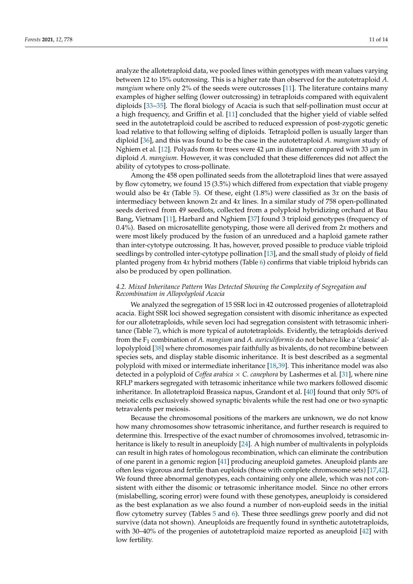analyze the allotetraploid data, we pooled lines within genotypes with mean values varying between 12 to 15% outcrossing. This is a higher rate than observed for the autotetraploid *A. mangium* where only 2% of the seeds were outcrosses [\[11\]](#page-12-10). The literature contains many examples of higher selfing (lower outcrossing) in tetraploids compared with equivalent diploids [\[33–](#page-13-7)[35\]](#page-13-8). The floral biology of Acacia is such that self-pollination must occur at a high frequency, and Griffin et al. [\[11\]](#page-12-10) concluded that the higher yield of viable selfed seed in the autotetraploid could be ascribed to reduced expression of post-zygotic genetic load relative to that following selfing of diploids. Tetraploid pollen is usually larger than diploid [\[36\]](#page-13-9), and this was found to be the case in the autotetraploid *A. mangium* study of

diploid *A. mangium*. However, it was concluded that these differences did not affect the ability of cytotypes to cross-pollinate. Among the 458 open pollinated seeds from the allotetraploid lines that were assayed by flow cytometry, we found 15 (3.5%) which differed from expectation that viable progeny would also be 4*x* (Table [5\)](#page-7-0). Of these, eight (1.8%) were classified as 3*x* on the basis of intermediacy between known 2*x* and 4*x* lines. In a similar study of 758 open-pollinated seeds derived from 49 seedlots, collected from a polyploid hybridizing orchard at Bau Bang, Vietnam [\[11\]](#page-12-10), Harbard and Nghiem [\[37\]](#page-13-10) found 3 triploid genotypes (frequency of 0.4%). Based on microsatellite genotyping, those were all derived from 2*x* mothers and were most likely produced by the fusion of an unreduced and a haploid gamete rather than inter-cytotype outcrossing. It has, however, proved possible to produce viable triploid seedlings by controlled inter-cytotype pollination [\[13\]](#page-12-11), and the small study of ploidy of field

planted progeny from 4*x* hybrid mothers (Table [6\)](#page-7-1) confirms that viable triploid hybrids can

Nghiem et al. [\[12\]](#page-12-19). Polyads from 4*x* trees were 42 µm in diameter compared with 33 µm in

# *4.2. Mixed Inheritance Pattern Was Detected Showing the Complexity of Segregation and Recombination in Allopolyploid Acacia*

also be produced by open pollination.

We analyzed the segregation of 15 SSR loci in 42 outcrossed progenies of allotetraploid acacia. Eight SSR loci showed segregation consistent with disomic inheritance as expected for our allotetraploids, while seven loci had segregation consistent with tetrasomic inheritance (Table [7\)](#page-8-0), which is more typical of autotetraploids. Evidently, the tetraploids derived from the F<sup>1</sup> combination of *A. mangium* and *A. auriculiformis* do not behave like a 'classic' allopolyploid [\[38\]](#page-13-11) where chromosomes pair faithfully as bivalents, do not recombine between species sets, and display stable disomic inheritance. It is best described as a segmental polyploid with mixed or intermediate inheritance [\[18](#page-12-16)[,39\]](#page-13-12). This inheritance model was also detected in a polyploid of *Coffea arabica* × *C. canephora* by Lashermes et al. [\[31\]](#page-13-5), where nine RFLP markers segregated with tetrasomic inheritance while two markers followed disomic inheritance. In allotetraploid Brassica napus, Grandont et al. [\[40\]](#page-13-13) found that only 50% of meiotic cells exclusively showed synaptic bivalents while the rest had one or two synaptic tetravalents per meiosis.

Because the chromosomal positions of the markers are unknown, we do not know how many chromosomes show tetrasomic inheritance, and further research is required to determine this. Irrespective of the exact number of chromosomes involved, tetrasomic inheritance is likely to result in aneuploidy [\[24\]](#page-13-0). A high number of multivalents in polyploids can result in high rates of homologous recombination, which can eliminate the contribution of one parent in a genomic region [\[41\]](#page-13-14) producing aneuploid gametes. Aneuploid plants are often less vigorous and fertile than euploids (those with complete chromosome sets) [\[17](#page-12-15)[,42\]](#page-13-15). We found three abnormal genotypes, each containing only one allele, which was not consistent with either the disomic or tetrasomic inheritance model. Since no other errors (mislabelling, scoring error) were found with these genotypes, aneuploidy is considered as the best explanation as we also found a number of non-euploid seeds in the initial flow cytometry survey (Tables [5](#page-7-0) and [6\)](#page-7-1). These three seedlings grew poorly and did not survive (data not shown). Aneuploids are frequently found in synthetic autotetraploids, with 30–40% of the progenies of autotetraploid maize reported as aneuploid [\[42\]](#page-13-15) with low fertility.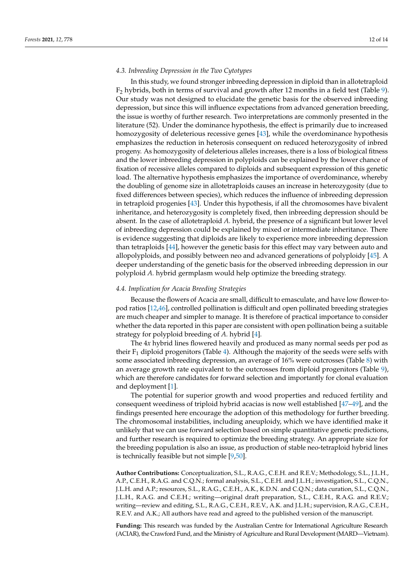# *4.3. Inbreeding Depression in the Two Cytotypes*

In this study, we found stronger inbreeding depression in diploid than in allotetraploid  $F<sub>2</sub>$  hybrids, both in terms of survival and growth after 12 months in a field test (Table [9\)](#page-9-0). Our study was not designed to elucidate the genetic basis for the observed inbreeding depression, but since this will influence expectations from advanced generation breeding, the issue is worthy of further research. Two interpretations are commonly presented in the literature (52). Under the dominance hypothesis, the effect is primarily due to increased homozygosity of deleterious recessive genes [\[43\]](#page-13-16), while the overdominance hypothesis emphasizes the reduction in heterosis consequent on reduced heterozygosity of inbred progeny. As homozygosity of deleterious alleles increases, there is a loss of biological fitness and the lower inbreeding depression in polyploids can be explained by the lower chance of fixation of recessive alleles compared to diploids and subsequent expression of this genetic load. The alternative hypothesis emphasizes the importance of overdominance, whereby the doubling of genome size in allotetraploids causes an increase in heterozygosity (due to fixed differences between species), which reduces the influence of inbreeding depression in tetraploid progenies [\[43\]](#page-13-16). Under this hypothesis, if all the chromosomes have bivalent inheritance, and heterozygosity is completely fixed, then inbreeding depression should be absent. In the case of allotetraploid *A.* hybrid, the presence of a significant but lower level of inbreeding depression could be explained by mixed or intermediate inheritance. There is evidence suggesting that diploids are likely to experience more inbreeding depression than tetraploids [\[44\]](#page-13-17), however the genetic basis for this effect may vary between auto and allopolyploids, and possibly between neo and advanced generations of polyploidy [\[45\]](#page-13-18). A deeper understanding of the genetic basis for the observed inbreeding depression in our polyploid *A.* hybrid germplasm would help optimize the breeding strategy.

## *4.4. Implication for Acacia Breeding Strategies*

Because the flowers of Acacia are small, difficult to emasculate, and have low flower-topod ratios [\[12,](#page-12-19)[46\]](#page-13-19), controlled pollination is difficult and open pollinated breeding strategies are much cheaper and simpler to manage. It is therefore of practical importance to consider whether the data reported in this paper are consistent with open pollination being a suitable strategy for polyploid breeding of *A.* hybrid [\[4\]](#page-12-3).

The 4*x* hybrid lines flowered heavily and produced as many normal seeds per pod as their  $F_1$  diploid progenitors (Table [4\)](#page-6-0). Although the majority of the seeds were selfs with some associated inbreeding depression, an average of 16% were outcrosses (Table [8\)](#page-8-1) with an average growth rate equivalent to the outcrosses from diploid progenitors (Table [9\)](#page-9-0), which are therefore candidates for forward selection and importantly for clonal evaluation and deployment [\[1\]](#page-12-0).

The potential for superior growth and wood properties and reduced fertility and consequent weediness of triploid hybrid acacias is now well established [\[47](#page-13-20)[–49\]](#page-13-21), and the findings presented here encourage the adoption of this methodology for further breeding. The chromosomal instabilities, including aneuploidy, which we have identified make it unlikely that we can use forward selection based on simple quantitative genetic predictions, and further research is required to optimize the breeding strategy. An appropriate size for the breeding population is also an issue, as production of stable neo-tetraploid hybrid lines is technically feasible but not simple [\[9,](#page-12-8)[50\]](#page-13-22).

**Author Contributions:** Conceptualization, S.L., R.A.G., C.E.H. and R.E.V.; Methodology, S.L., J.L.H., A.P., C.E.H., R.A.G. and C.Q.N.; formal analysis, S.L., C.E.H. and J.L.H.; investigation, S.L., C.Q.N., J.L.H. and A.P.; resources, S.L., R.A.G., C.E.H., A.K., K.D.N. and C.Q.N.; data curation, S.L., C.Q.N., J.L.H., R.A.G. and C.E.H.; writing—original draft preparation, S.L., C.E.H., R.A.G. and R.E.V.; writing—review and editing, S.L., R.A.G., C.E.H., R.E.V., A.K. and J.L.H.; supervision, R.A.G., C.E.H., R.E.V. and A.K.; All authors have read and agreed to the published version of the manuscript.

**Funding:** This research was funded by the Australian Centre for International Agriculture Research (ACIAR), the Crawford Fund, and the Ministry of Agriculture and Rural Development (MARD—Vietnam).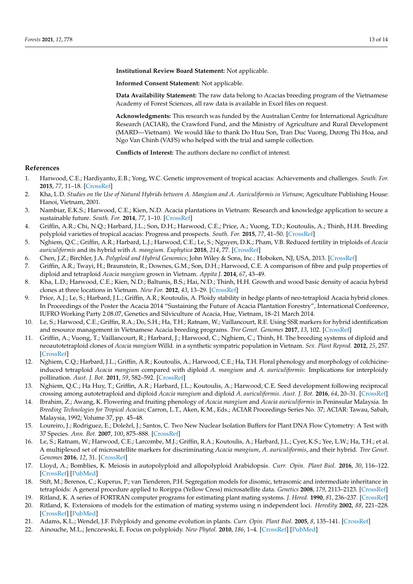**Institutional Review Board Statement:** Not applicable.

**Informed Consent Statement:** Not applicable.

**Data Availability Statement:** The raw data belong to Acacias breeding program of the Vietnamese Academy of Forest Sciences, all raw data is available in Excel files on request.

**Acknowledgments:** This research was funded by the Australian Centre for International Agriculture Research (ACIAR), the Crawford Fund, and the Ministry of Agriculture and Rural Development (MARD—Vietnam). We would like to thank Do Huu Son, Tran Duc Vuong, Dương Thi Hoa, and Ngo Van Chinh (VAFS) who helped with the trial and sample collection.

**Conflicts of Interest:** The authors declare no conflict of interest.

# **References**

- <span id="page-12-0"></span>1. Harwood, C.E.; Hardiyanto, E.B.; Yong, W.C. Genetic improvement of tropical acacias: Achievements and challenges. *South. For.* **2015**, *77*, 11–18. [\[CrossRef\]](http://doi.org/10.2989/20702620.2014.999302)
- <span id="page-12-1"></span>2. Kha, L.D. *Studies on the Use of Natural Hybrids between A. Mangium and A. Auriculiformis in Vietnam*; Agriculture Publishing House: Hanoi, Vietnam, 2001.
- <span id="page-12-2"></span>3. Nambiar, E.K.S.; Harwood, C.E.; Kien, N.D. Acacia plantations in Vietnam: Research and knowledge application to secure a sustainable future. *South. For.* **2014**, *77*, 1–10. [\[CrossRef\]](http://doi.org/10.2989/20702620.2014.999301)
- <span id="page-12-3"></span>4. Griffin, A.R.; Chi, N.Q.; Harbard, J.L.; Son, D.H.; Harwood, C.E.; Price, A.; Vuong, T.D.; Koutoulis, A.; Thinh, H.H. Breeding polyploid varieties of tropical acacias: Progress and prospects. *South. For.* **2015**, *77*, 41–50. [\[CrossRef\]](http://doi.org/10.2989/20702620.2014.999303)
- <span id="page-12-4"></span>5. Nghiem, Q.C.; Griffin, A.R.; Harbard, L.J.; Harwood, C.E.; Le, S.; Nguyen, D.K.; Pham, V.B. Reduced fertility in triploids of *Acacia auriculiformis* and its hybrid with *A. mangium*. *Euphytica* **2018**, *214*, 77. [\[CrossRef\]](http://doi.org/10.1007/s10681-018-2157-8)
- <span id="page-12-5"></span>6. Chen, J.Z.; Birchler, J.A. *Polyploid and Hybrid Genomics*; John Wiley & Sons, Inc.: Hoboken, NJ, USA, 2013. [\[CrossRef\]](http://doi.org/10.1002/9781118552872)
- <span id="page-12-6"></span>7. Griffin, A.R.; Twayi, H.; Braunstein, R.; Downes, G.M.; Son, D.H.; Harwood, C.E. A comparison of fibre and pulp properties of diploid and tetraploid *Acacia mangium* grown in Vietnam. *Appita J.* **2014**, *67*, 43–49.
- <span id="page-12-7"></span>8. Kha, L.D.; Harwood, C.E.; Kien, N.D.; Baltunis, B.S.; Hai, N.D.; Thinh, H.H. Growth and wood basic density of acacia hybrid clones at three locations in Vietnam. *New For.* **2012**, *43*, 13–29. [\[CrossRef\]](http://doi.org/10.1007/s11056-011-9263-y)
- <span id="page-12-8"></span>9. Price, A.J.; Le, S.; Harbard, J.L.; Griffin, A.R.; Koutoulis, A. Ploidy stability in hedge plants of neo-tetraploid Acacia hybrid clones. In Proceedings of the Poster the Acacia 2014 "Sustaining the Future of Acacia Plantation Forestry", International Conference, IUFRO Working Party 2.08.07, Genetics and Silviculture of Acacia, Hue, Vietnam, 18–21 March 2014.
- <span id="page-12-9"></span>10. Le, S.; Harwood, C.E.; Griffin, R.A.; Do, S.H.; Ha, T.H.; Ratnam, W.; Vaillancourt, R.E. Using SSR markers for hybrid identification and resource management in Vietnamese Acacia breeding programs. *Tree Genet. Genomes* **2017**, *13*, 102. [\[CrossRef\]](http://doi.org/10.1007/s11295-017-1184-2)
- <span id="page-12-10"></span>11. Griffin, A.; Vuong, T.; Vaillancourt, R.; Harbard, J.; Harwood, C.; Nghiem, C.; Thinh, H. The breeding systems of diploid and neoautotetraploid clones of *Acacia mangium* Willd. in a synthetic sympatric population in Vietnam. *Sex. Plant Reprod.* **2012**, *25*, 257. [\[CrossRef\]](http://doi.org/10.1007/s00497-012-0195-2)
- <span id="page-12-19"></span>12. Nghiem, C.Q.; Harbard, J.L.; Griffin, A.R.; Koutoulis, A.; Harwood, C.E.; Ha, T.H. Floral phenology and morphology of colchicineinduced tetraploid *Acacia mangium* compared with diploid *A. mangium* and *A. auriculiformis*: Implications for interploidy pollination. *Aust. J. Bot.* **2011**, *59*, 582–592. [\[CrossRef\]](http://doi.org/10.1071/BT11130)
- <span id="page-12-11"></span>13. Nghiem, Q.C.; Ha Huy, T.; Griffin, A.R.; Harbard, J.L.; Koutoulis, A.; Harwood, C.E. Seed development following reciprocal crossing among autotetraploid and diploid *Acacia mangium* and diploid *A. auriculiformis*. *Aust. J. Bot.* **2016**, *64*, 20–31. [\[CrossRef\]](http://doi.org/10.1071/BT15130)
- <span id="page-12-12"></span>14. Ibrahim, Z.; Awang, K. Flowering and fruiting phenology of *Acacia mangium* and *Acacia auriculiformis* in Peninsular Malaysia. In *Breeding Technologies for Tropical Acacias*; Carron, L.T., Aken, K.M., Eds.; ACIAR Proceedings Series No. 37; ACIAR: Tawau, Sabah, Malaysia, 1992; Volume 37, pp. 45–48.
- <span id="page-12-13"></span>15. Loureiro, J.; Rodriguez, E.; Doležel, J.; Santos, C. Two New Nuclear Isolation Buffers for Plant DNA Flow Cytometry: A Test with 37 Species. *Ann. Bot.* **2007**, *100*, 875–888. [\[CrossRef\]](http://doi.org/10.1093/aob/mcm152)
- <span id="page-12-14"></span>16. Le, S.; Ratnam, W.; Harwood, C.E.; Larcombe, M.J.; Griffin, R.A.; Koutoulis, A.; Harbard, J.L.; Cyer, K.S.; Yee, L.W.; Ha, T.H.; et al. A multiplexed set of microsatellite markers for discriminating *Acacia mangium*, *A. auriculiformis*, and their hybrid. *Tree Genet. Genomes* **2016**, *12*, 31. [\[CrossRef\]](http://doi.org/10.1007/s11295-016-0990-2)
- <span id="page-12-15"></span>17. Lloyd, A.; Bomblies, K. Meiosis in autopolyploid and allopolyploid Arabidopsis. *Curr. Opin. Plant Biol.* **2016**, *30*, 116–122. [\[CrossRef\]](http://doi.org/10.1016/j.pbi.2016.02.004) [\[PubMed\]](http://www.ncbi.nlm.nih.gov/pubmed/26950252)
- <span id="page-12-16"></span>18. Stift, M.; Berenos, C.; Kuperus, P.; van Tienderen, P.H. Segregation models for disomic, tetrasomic and intermediate inheritance in tetraploids: A general procedure applied to Rorippa (Yellow Cress) microsatellite data. *Genetics* **2008**, *179*, 2113–2123. [\[CrossRef\]](http://doi.org/10.1534/genetics.107.085027)
- <span id="page-12-17"></span>19. Ritland, K. A series of FORTRAN computer programs for estimating plant mating systems. *J. Hered.* **1990**, *81*, 236–237. [\[CrossRef\]](http://doi.org/10.1093/oxfordjournals.jhered.a110982)
- <span id="page-12-18"></span>20. Ritland, K. Extensions of models for the estimation of mating systems using n independent loci. *Heredity* **2002**, *88*, 221–228. [\[CrossRef\]](http://doi.org/10.1038/sj.hdy.6800029) [\[PubMed\]](http://www.ncbi.nlm.nih.gov/pubmed/11920127)
- <span id="page-12-20"></span>21. Adams, K.L.; Wendel, J.F. Polyploidy and genome evolution in plants. *Curr. Opin. Plant Biol.* **2005**, *8*, 135–141. [\[CrossRef\]](http://doi.org/10.1016/j.pbi.2005.01.001)
- 22. Ainouche, M.L.; Jenczewski, E. Focus on polyploidy. *New Phytol.* **2010**, *186*, 1–4. [\[CrossRef\]](http://doi.org/10.1111/j.1469-8137.2010.03215.x) [\[PubMed\]](http://www.ncbi.nlm.nih.gov/pubmed/20409175)